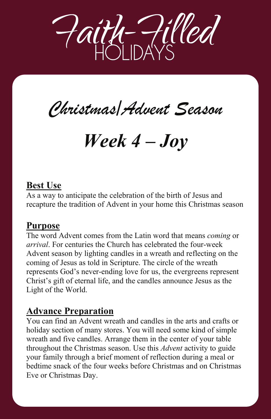

*Christmas/Advent Season Christmas/Advent Season*

# *Week 4 – Joy Week 4 – Joy*

### **Best Use**

As a way to anticipate the celebration of the birth of Jesus and recapture the tradition of Advent in your home this Christmas season

As a way to anticipate the celebration of the birth of Jesus and

The word Advent comes from the Latin word that means *coming* or

#### **Purpose**

The word Advent comes from the Latin word that means *coming* or *arrival*. For centuries the Church has celebrated the four-week Advent season by lighting candles in a wreath and reflecting on the coming of Jesus as told in Scripture. The circle of the wreath represents God's never-ending love for us, the evergreens represent Christ's gift of eternal life, and the candles announce Jesus as the Light of the World.

#### **Advance Preparation You can find an Advance Preparation**

You can find an Advent wreath and candles in the arts and crafts or holiday section of many stores. You will need some kind of simple wreath and five candles. Arrange them in the center of your table throughout the Christmas season. Use this *Advent* activity to guide your family through a brief moment of reflection during a meal or bedtime snack of the four weeks before Christmas and on Christmas Eve or Christmas Day.